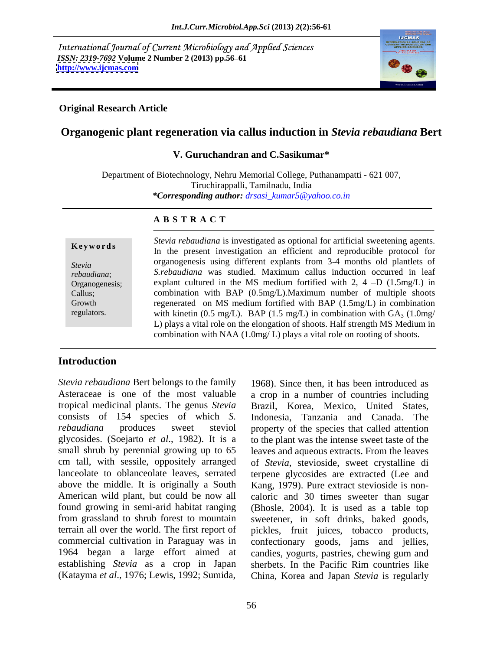International Journal of Current Microbiology and Applied Sciences *ISSN: 2319-7692 Volume 2 Number 2 (2013) pp.56–61 http://www.ijcmas.com* **<http://www.ijcmas.com>**



### **Original Research Article**

# **Organogenic plant regeneration via callus induction in** *Stevia rebaudiana* **Bert**

### **V. Guruchandran and C.Sasikumar\***

Department of Biotechnology, Nehru Memorial College, Puthanampatti - 621 007, Tiruchirappalli, Tamilnadu, India *\*Corresponding author: drsasi\_kumar5@yahoo.co.in*

### **A B S T R A C T**

**Keywords** Stevia rebaudiana is investigated as optional for artificial sweetening agents.<br>In the present investigation an efficient and reproducible protocol for *Stevia*  organogenesis using different explants from 3-4 months old plantlets of *rebaudiana*; *S.rebaudiana* was studied. Maximum callus induction occurred in leaf Organogenesis; explant cultured in the MS medium fortified with 2,  $4-D(1.5mg/L)$  in Callus; combination with BAP (0.5mg/L).Maximum number of multiple shoots Growth regenerated on MS medium fortified with BAP (1.5mg/L) in combination *Stevia Stevia rebaudiana* is investigated as optional for artificial sweetening agents.<br>
In the present investigation an efficient and reproducible protocol for<br>
organogenesis: *S.rebaudiana* was studied. Maximum callus with kinetin (0.5 mg/L). BAP (1.5 mg/L) in combination with  $GA_3$  (1.0mg/ L) plays a vital role on the elongation of shoots. Half strength MS Medium in combination with NAA (1.0mg/ L) plays a vital role on rooting of shoots.

# **Introduction**

*Stevia rebaudiana* Bert belongs to the family 1968). Since then, it has been introduced as Asteraceae is one of the most valuable a crop in a number of countries including tropical medicinal plants. The genus *Stevia*  Brazil, Korea, Mexico, United States, consists of 154 species of which *S. rebaudiana* produces sweet steviol property of the species that called attention glycosides. (Soejarto *et al*., 1982). It is a to the plant was the intense sweet taste of the small shrub by perennial growing up to 65 leaves and aqueous extracts. From the leaves cm tall, with sessile, oppositely arranged of *Stevia*, stevioside, sweet crystalline di lanceolate to oblanceolate leaves, serrated terpene glycosides are extracted (Lee and above the middle. It is originally a South Kang, 1979). Pure extract stevioside is non- American wild plant, but could be now all caloric and 30 times sweeter than sugar found growing in semi-arid habitat ranging (Bhosle, 2004). It is used as a table top from grassland to shrub forest to mountain sweetener, in soft drinks, baked goods, terrain all over the world. The first report of pickles, fruit juices, tobacco products, commercial cultivation in Paraguay was in confectionary goods, jams and jellies, 1964 began a large effort aimed at candies, yogurts, pastries, chewing gum and establishing *Stevia* as a crop in Japan sherbets. In the Pacific Rim countries like (Katayma *et al*., 1976; Lewis, 1992; Sumida, China, Korea and Japan *Stevia* is regularly

Indonesia, Tanzania and Canada. The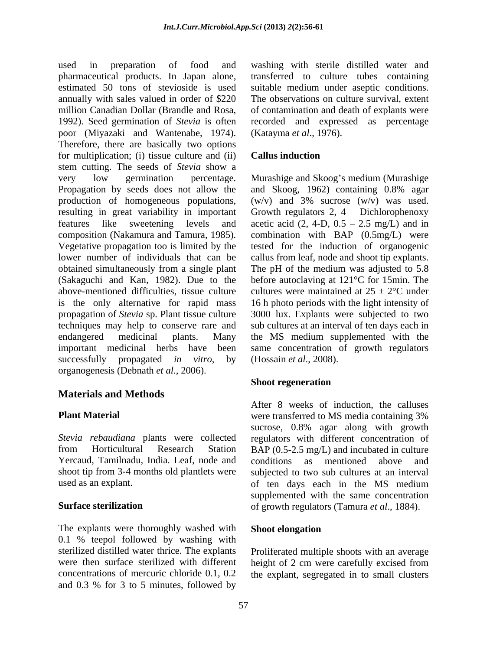used in preparation of food and washing with sterile distilled water and pharmaceutical products. In Japan alone, estimated 50 tons of stevioside is used suitable medium under aseptic conditions. annually with sales valued in order of \$220 The observations on culture survival, extent million Canadian Dollar (Brandle and Rosa, 1992). Seed germination of *Stevia* is often recorded and expressed as percentage poor (Miyazaki and Wantenabe, 1974). (Katayma *et al.*, 1976).<br>Therefore, there are basically two options for multiplication; (i) tissue culture and (ii) **Callus induction** stem cutting. The seeds of *Stevia* show a very low germination percentage. Murashige and Skoog's medium (Murashige Propagation by seeds does not allow the and Skoog, 1962) containing 0.8% agar production of homogeneous populations, resulting in great variability in important Growth regulators 2, 4 – Dichlorophenoxy features like sweetening levels and acetic acid  $(2, 4-D, 0.5 - 2.5 \text{ mg/L})$  and in composition (Nakamura and Tamura, 1985). combination with BAP (0.5mg/L) were Vegetative propagation too is limited by the tested for the induction of organogenic lower number of individuals that can be callus from leaf, node and shoot tip explants. obtained simultaneously from asingle plant The pH of the medium was adjusted to 5.8 (Sakaguchi and Kan, 1982). Due to the before autoclaving at 121°C for 15min. The above-mentioned difficulties, tissue culture cultures were maintained at  $25 \pm 2$ °C under is the only alternative for rapid mass 16 h photo periods with the light intensity of propagation of *Stevia* sp. Plant tissue culture techniques may help to conserve rare and sub cultures at an interval of ten days each in endangered medicinal plants. Many the MS medium supplemented with the important medicinal herbs have been same concentration of growth regulators successfully propagated *in vitro*, by (Hossain *et al.*, 2008). organogenesis (Debnath *et al*., 2006).

# **Materials and Methods**

*Stevia rebaudiana* plants were collected regulators with different concentration of from Horticultural Research Station BAP (0.5-2.5 mg/L) and incubated in culture Yercaud, Tamilnadu, India. Leaf, node and conditions as mentioned above and shoot tip from 3-4 months old plantlets were subjected to two sub cultures at an interval

The explants were thoroughly washed with Shoot elongation 0.1 % teepol followed by washing with sterilized distilled water thrice. The explants were then surface sterilized with different height of 2 cm were carefully excised from concentrations of mercuric chloride 0.1, 0.2 the explant, segregated in to small clustersand 0.3 % for 3 to 5 minutes, followed by

transferred to culture tubes containing of contamination and death of explants were (Katayma *et al*., 1976).

# **Callus induction**

 $(w/v)$  and 3% sucrose  $(w/v)$  was used. 3000 lux. Explants were subjected to two (Hossain *et al*., 2008).

# **Shoot regeneration**

**Plant Material** were transferred to MS media containing 3% used as an explant. of ten days each in the MS medium **Surface sterilization** of growth regulators (Tamura *et al*., 1884). After 8 weeks of induction, the calluses sucrose, 0.8% agar along with growth conditions as mentioned above and supplemented with the same concentration

# **Shoot elongation**

Proliferated multiple shoots with an average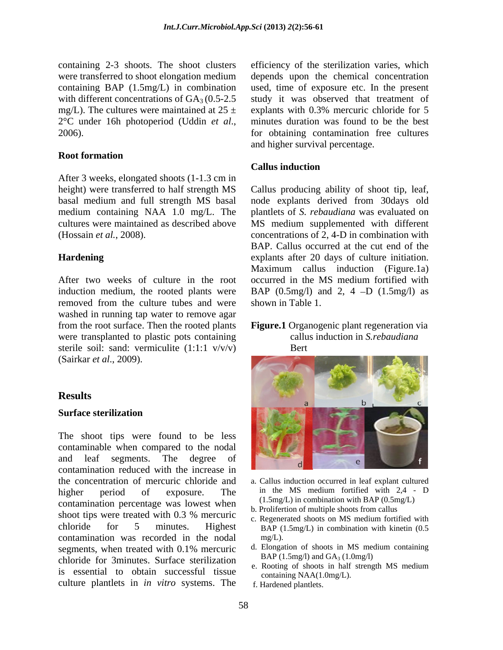### **Root formation**

After 3 weeks, elongated shoots (1-1.3 cm in

After two weeks of culture in the root occurred in the MS medium fortified with removed from the culture tubes and were washed in running tap water to remove agar from the root surface. Then the rooted plants **Figure.1** Organogenic plant regeneration via were transplanted to plastic pots containing sterile soil: sand: vermiculite (1:1:1 v/v/v) Bert (Sairkar *et al*., 2009).

The shoot tips were found to be less contaminable when compared to the nodal contamination reduced with the increase in the concentration of mercuric chloride and higher period of exposure. The in the MS medium fortified with 2,4 - D contamination percentage was lowest when shoot tips were treated with  $0.3\%$  mercuric contribution of matter shoots from call the solution of the shoots of MS medium fortified with chloride for 5 minutes. Highest BAP (1.5mg/L) in combination with kinetin (0.5 contamination was recorded in the nodal segments, when treated with  $0.1\%$  mercuric d. Elongation of shoots in MS medium containing chloride for 3minutes. Surface sterilization is essential to obtain successful tissue culture plantlets in *in vitro* systems. The

containing 2-3 shoots. The shoot clusters efficiency of the sterilization varies, which were transferred to shoot elongation medium depends upon the chemical concentration containing BAP (1.5mg/L) in combination used, time of exposure etc. In the present with different concentrations of  $GA_3 (0.5{\text -}2.5$  study it was observed that treatment of mg/L). The cultures were maintained at  $25 \pm$  explants with 0.3% mercuric chloride for 5 2°C under 16h photoperiod (Uddin *et al.*, minutes duration was found to be the best for obtaining contamination free cultures minutes duration was found to be the best for obtaining contamination free cultures and higher survival percentage.

# **Callus induction**

height) were transferred to half strength MS Callus producing ability of shoot tip, leaf, basal medium and full strength MS basal node explants derived from 30days old medium containing NAA 1.0 mg/L. The plantlets of *S. rebaudiana* was evaluated on cultures were maintained as described above MS medium supplemented with different (Hossain *et al.*, 2008). concentrations of 2, 4-D in combination with **Hardening** explants after 20 days of culture initiation. induction medium, the rooted plants were  $\beta$  BAP (0.5mg/l) and 2, 4 -D (1.5mg/l) as BAP. Callus occurred at the cut end of the Maximum callus induction (Figure.1a) occurred in the MS medium fortified with shown in Table 1.

# callus induction in *S.rebaudiana*  Bert and the set of the set of the set of the set of the set of the set of the set of the set of the set of the set of the set of the set of the set of the set of the set of the set of the set of the set of the set of the



- a. Callus induction occurred in leaf explant cultured (1.5mg/L) in combination with BAP (0.5mg/L)
- b. Prolifertion of multiple shoots from callus
- c. Regenerated shoots on MS medium fortified with  $mg/L$ ).
- d. Elongation of shoots in MS medium containing BAP (1.5mg/l) and  $GA_3$  (1.0mg/l)
- e. Rooting of shoots in half strength MS medium containing NAA(1.0mg/L).
- f. Hardened plantlets.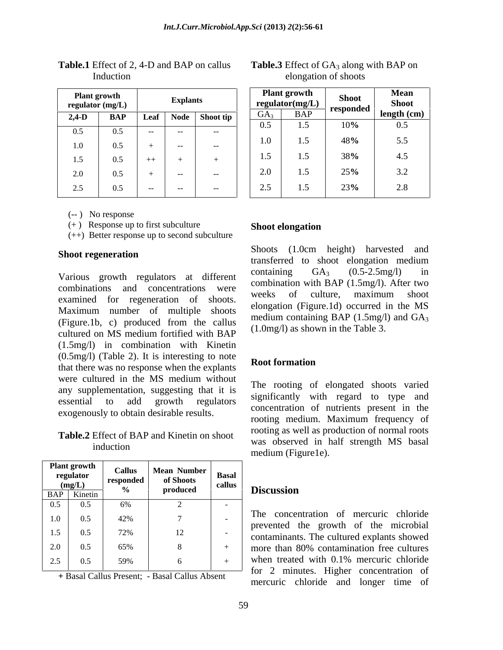| <b>Plant growth</b><br>regulator $(mg/L)$ |     |        | <b>Explants</b> |           |
|-------------------------------------------|-----|--------|-----------------|-----------|
| $2,4-D$                                   | BAP | Leaf   | <b>Node</b>     | Shoot tip |
| 0.5                                       | 0.5 |        |                 |           |
| 1.0                                       | 0.5 | $^{+}$ |                 |           |
| 1.5                                       | 0.5 | $++$   | $^{+}$          | $^+$      |
| 2.0                                       | 0.5 | $^{+}$ |                 |           |
| 2.5                                       | 0.5 |        |                 |           |

**Table.1** Effect of 2, 4-D and BAP on callus Induction elongation of shoots

(-- ) No response

(+) Response up to first subculture **Shoot elongation** 

(++) Better response up to second subculture

combinations and concentrations were combination will be the two weeks of culture, maximum shoot examined for regeneration of shoots. Maximum number of multiple shoots (Figure.1b, c) produced from the callus cultured on MS medium fortified with  $BAP$  (1.0111g/1) as shown in the Table 5. (1.5mg/l) in combination with Kinetin (0.5mg/l) (Table 2). It is interesting to note that there was no response when the explants were cultured in the MS medium without any supplementation, suggesting that it is essential to add growth regulators significantly with regard to type and<br>concentration of nutrients present in the exogenously to obtain desirable results.

**Table.2** Effect of BAP and Kinetin on shoot

| <b>Plant growth</b><br>regulator               | <b>Callus</b> | Mean Number<br>of Shoots<br>colling |        |                                                                                     |
|------------------------------------------------|---------------|-------------------------------------|--------|-------------------------------------------------------------------------------------|
| $\frac{\textbf{(mg/L)}}{\textbf{BAP}}$ Kinetin | responded     | produced                            | callus | <b>Discussion</b>                                                                   |
| 0.5<br>0.5                                     | 6%            |                                     |        |                                                                                     |
| 1.0<br>0.5                                     | 42%           |                                     |        | The concentration of mercuric chloride                                              |
| 1.5<br>0.5                                     | 72%           |                                     |        | prevented the growth of the microbial<br>contaminants. The cultured explants showed |
| 2.0<br>0.5                                     | 65%           |                                     |        | more than 80% contamination free cultures                                           |
| 2.5<br>0.5                                     | 59%           |                                     |        | when treated with 0.1% mercuric chloride                                            |
|                                                |               |                                     |        | $\overline{\phantom{a}}$ for 2 minutes. Higher concentration of                     |

**+** Basal Callus Present; - Basal Callus Absent

| Plant growth<br>regulator (mg/L)<br><b>Explants</b>             | <b>Plant growth</b> |                     |                             |
|-----------------------------------------------------------------|---------------------|---------------------|-----------------------------|
|                                                                 |                     | . esponder          | <b>Mean</b><br><b>Shoot</b> |
| $2.4-D$<br>- Node - I-Shoot i                                   |                     |                     |                             |
|                                                                 |                     |                     |                             |
|                                                                 | 1.5                 |                     |                             |
| 1.0<br><b>Contract Contract State</b><br>0.5                    |                     |                     | 5.5                         |
| 1.5<br>$++$<br>0.3                                              | $1\leq$             |                     | 4.5                         |
| $\sim$ $\sim$                                                   |                     | $\Delta F \Delta t$ | J.L                         |
| 25<br><b>Contract Contract State</b><br>and the contract of the | 1.5                 |                     |                             |

### **Table.3** Effect of GA<sub>3</sub> along with BAP on elongation of shoots

# **Shoot elongation**

Shoot regeneration<br> **Shoot regeneration**<br> **Shoot regeneration** Various growth regulators at different containing  $GA_3$  (0.5-2.5 mg/l) in Shoots (1.0cm height) harvested and transferred to shoot elongation medium containing  $GA_3$   $(0.5-2.5mg/l)$  in combination with BAP (1.5mg/l). After two weeks of culture, maximum shoot elongation (Figure.1d) occurred in the MS medium containing BAP (1.5mg/l) and GA<sub>3</sub> (1.0mg/l) as shown in the Table 3.

### **Root formation**

induction was observed in hair suchgui Mis basar The rooting of elongated shoots varied significantly with regard to type and rooting medium. Maximum frequency of rooting as well as production of normal roots was observed in half strength MS basal medium (Figure1e).

### **Discussion**

 $0.5$   $42\%$   $7$   $1\degree$  $42\%$  |  $7$  |  $\frac{1}{2}$  |  $\frac{1}{2}$  |  $\frac{1}{2}$  |  $\frac{1}{2}$  |  $\frac{1}{2}$  |  $\frac{1}{2}$  |  $\frac{1}{2}$  |  $\frac{1}{2}$  |  $\frac{1}{2}$  |  $\frac{1}{2}$  |  $\frac{1}{2}$  |  $\frac{1}{2}$  |  $\frac{1}{2}$  |  $\frac{1}{2}$  |  $\frac{1}{2}$  |  $\frac{1}{2}$  |  $\frac{1}{2}$  |  $\$  $72\%$  | 12 |  $\frac{1}{2}$  | contaminants The cultured explants showed  $59\%$  | 6 | + | when treated with 0.1% mercuric chloride  $7 \quad | \quad | \quad$  The concentration of increase enormed prevented the growth of the microbial contaminants. The cultured explants showed<br>+ more than 80% contamination free cultures The concentration of mercuric chloride more than 80% contamination free cultures when treated with 0.1% mercuric chloride for 2 minutes. Higher concentration of mercuric chloride and longer time of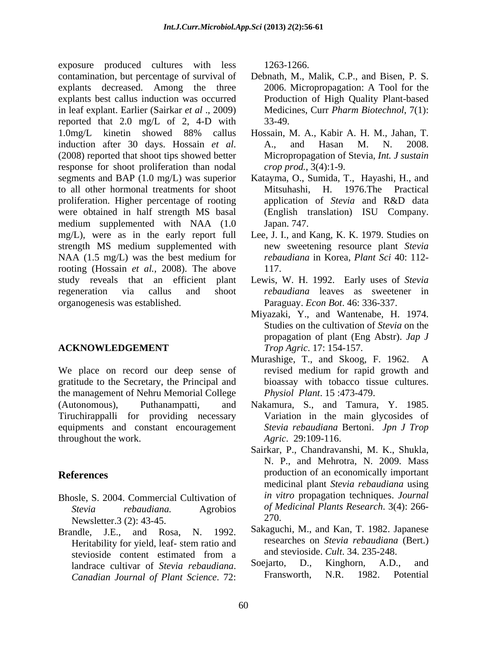exposure produced cultures with less 1263-1266. contamination, but percentage of survival of Debnath, M., Malik, C.P., and Bisen, P. S. explants decreased. Among the three 2006. Micropropagation: A Tool for the explants best callus induction was occurred in leaf explant. Earlier (Sairkar *et al* ., 2009) reported that 2.0 mg/L of 2, 4-D with 33-49. 1.0mg/L kinetin showed 88% callus Hossain, M. A., Kabir A. H. M., Jahan, T. induction after 30 days. Hossain *et al*. A., and Hasan M. N. 2008.<br>(2008) reported that shoot tips showed better Micropropagation of Stevia, *Int. J sustain* response for shoot proliferation than nodal segments and BAP (1.0 mg/L) was superior to all other hormonal treatments for shoot proliferation. Higher percentage of rooting were obtained in half strength MS basal medium supplemented with NAA (1.0 Japan. 747. mg/L), were as in the early report full Lee, J. I., and Kang, K. K. 1979. Studies on strength MS medium supplemented with NAA (1.5 mg/L) was the best medium for rooting (Hossain *et al.*, 2008). The above study reveals that an efficient plant Lewis, W. H. 1992. Early uses of *Stevia*  regeneration via callus and shoot *rebaudiana* leaves as sweetener in organogenesis was established. Paraguay. *Econ Bot*. 46: 336-337.

We place on record our deep sense of gratitude to the Secretary, the Principal and the management of Nehru Memorial College (Autonomous), Puthanampatti, and Nakamura, S., and Tamura, Y. 1985. Tiruchirappalli for providing necessary Variation in the main glycosides of equipments and constant encouragement throughout the work.

- Bhosle, S. 2004. Commercial Cultivation of Newsletter.3 (2): 43-45. 270.
- Brandle, J.E., and Rosa, N. 1992. stevioside content estimated from a and stevioside Cult. 34. 235-248.<br>
landrace cultivar of Stevia rehaudiana Sociarto. D., Kinghorn, A.D., and *Canadian Journal of Plant Science*. 72:

1263-1266.

- Production of High Quality Plant-based Medicines, Curr *Pharm Biotechnol*, 7(1): 33-49.
- Hossain, M. A., Kabir A. H. M., Jahan, T. A., and Hasan M. N. 2008. Micropropagation of Stevia, *Int. J sustain crop prod.*, 3(4):1-9.
- Katayma, O., Sumida, T., Hayashi, H., and Mitsuhashi, H. 1976.The Practical application of *Stevia* and R&D data (English translation) ISU Company. Japan. 747.
- new sweetening resource plant *Stevia rebaudiana* in Korea, *Plant Sci* 40: 112- 117.
- 
- **ACKNOWLEDGEMENT** *Trop Agric.* 17: 154-157. Miyazaki, Y., and Wantenabe, H. 1974. Studies on the cultivation of *Stevia* on the propagation of plant (Eng Abstr). *Jap J Trop Agric*. 17: 154-157.
	- Murashige, T., and Skoog, F. 1962. A revised medium for rapid growth and bioassay with tobacco tissue cultures. *Physiol Plant*. 15 :473-479.
	- *Stevia rebaudiana* Bertoni. *Jpn J Trop Agric*. 29:109-116.
- **References**  production of an economically important *Stevia rebaudiana.* Agrobios *of Medicinal Plants Research*. 3(4): 266- Sairkar, P., Chandravanshi, M. K., Shukla, N. P., and Mehrotra, N. 2009. Mass medicinal plant *Stevia rebaudiana* using *in vitro* propagation techniques. *Journal*  270.
	- Heritability for yield, leaf- stem ratio and researches on Stevia rebaudiana (Bert.) Sakaguchi, M., and Kan, T. 1982. Japanese researches on *Stevia rebaudiana* (Bert.) and stevioside. *Cult*. 34. 235-248.
	- landrace cultivar of *Stevia rebaudiana*. Soejarto, D., Kinghorn, A.D., and<br>Canadian *Journal of Plant Science* 72: Fransworth, N.R. 1982. Potential Soejarto, D., Kinghorn, A.D., and Fransworth, N.R. 1982. Potential